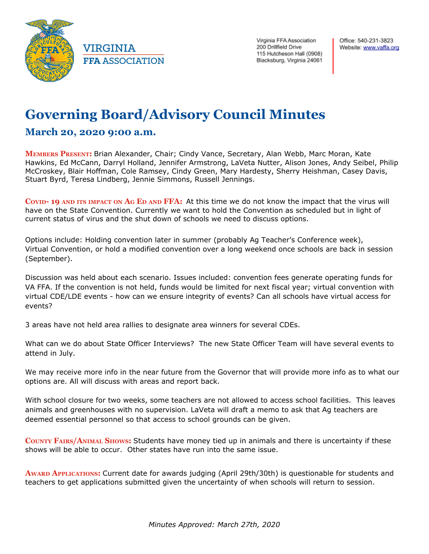

**VIRGINIA FFA ASSOCIATION**  Virginia FFA Association 200 Drillfield Drive 115 Hutcheson Hall (0908) Blacksburg, Virginia 24061

## **Governing Board/Advisory Council Minutes**

## **March 20, 2020 9:00 a.m.**

**MEMBERS PRESENT:** Brian Alexander, Chair; Cindy Vance, Secretary, Alan Webb, Marc Moran, Kate Hawkins, Ed McCann, Darryl Holland, Jennifer Armstrong, LaVeta Nutter, Alison Jones, Andy Seibel, Philip McCroskey, Blair Hoffman, Cole Ramsey, Cindy Green, Mary Hardesty, Sherry Heishman, Casey Davis, Stuart Byrd, Teresa Lindberg, Jennie Simmons, Russell Jennings.

**COVID- 19 AND ITS IMPACT ON A<sup>G</sup> E<sup>D</sup> AND FFA:** At this time we do not know the impact that the virus will have on the State Convention. Currently we want to hold the Convention as scheduled but in light of current status of virus and the shut down of schools we need to discuss options.

Options include: Holding convention later in summer (probably Ag Teacher's Conference week), Virtual Convention, or hold a modified convention over a long weekend once schools are back in session (September).

Discussion was held about each scenario. Issues included: convention fees generate operating funds for VA FFA. If the convention is not held, funds would be limited for next fiscal year; virtual convention with virtual CDE/LDE events - how can we ensure integrity of events? Can all schools have virtual access for events?

3 areas have not held area rallies to designate area winners for several CDEs.

What can we do about State Officer Interviews? The new State Officer Team will have several events to attend in July.

We may receive more info in the near future from the Governor that will provide more info as to what our options are. All will discuss with areas and report back.

With school closure for two weeks, some teachers are not allowed to access school facilities. This leaves animals and greenhouses with no supervision. LaVeta will draft a memo to ask that Ag teachers are deemed essential personnel so that access to school grounds can be given.

**COUNTY FAIRS/ANIMAL SHOWS:** Students have money tied up in animals and there is uncertainty if these shows will be able to occur. Other states have run into the same issue.

**AWARD APPLICATIONS:** Current date for awards judging (April 29th/30th) is questionable for students and teachers to get applications submitted given the uncertainty of when schools will return to session.